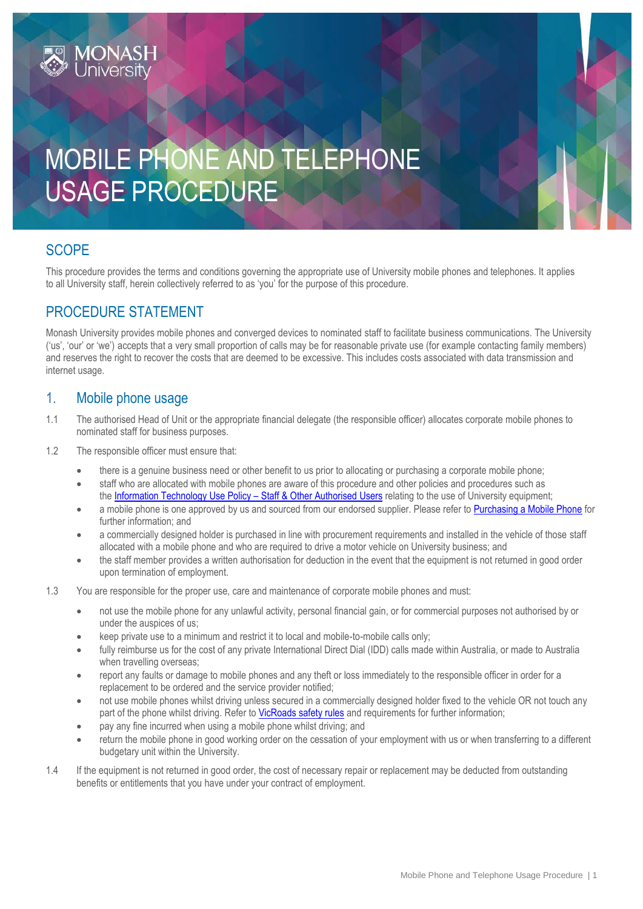# MOBILE PHONE AND TELEPHONE USAGE PROCEDURE

### **SCOPE**

This procedure provides the terms and conditions governing the appropriate use of University mobile phones and telephones. It applies to all University staff, herein collectively referred to as 'you' for the purpose of this procedure.

#### PROCEDURE STATEMENT

Monash University provides mobile phones and converged devices to nominated staff to facilitate business communications. The University ('us', 'our' or 'we') accepts that a very small proportion of calls may be for reasonable private use (for example contacting family members) and reserves the right to recover the costs that are deemed to be excessive. This includes costs associated with data transmission and internet usage.

#### 1. Mobile phone usage

- 1.1 The authorised Head of Unit or the appropriate financial delegate (the responsible officer) allocates corporate mobile phones to nominated staff for business purposes.
- 1.2 The responsible officer must ensure that:
	- there is a genuine business need or other benefit to us prior to allocating or purchasing a corporate mobile phone;
	- staff who are allocated with mobile phones are aware of this procedure and other policies and procedures such as the [Information Technology Use Policy](https://publicpolicydms.monash.edu/Monash/documents/1909268) – Staff & Other Authorised Users relating to the use of University equipment;
	- a mobile phone is one approved by us and sourced from our endorsed supplier. Please refer t[o Purchasing a Mobile Phone](https://monash.edu/esolutions/phones/mobile-sim-purchase) for further information; and
	- a commercially designed holder is purchased in line with procurement requirements and installed in the vehicle of those staff allocated with a mobile phone and who are required to drive a motor vehicle on University business; and
	- the staff member provides a written authorisation for deduction in the event that the equipment is not returned in good order upon termination of employment.
- 1.3 You are responsible for the proper use, care and maintenance of corporate mobile phones and must:
	- not use the mobile phone for any unlawful activity, personal financial gain, or for commercial purposes not authorised by or under the auspices of us;
	- keep private use to a minimum and restrict it to local and mobile-to-mobile calls only;
	- fully reimburse us for the cost of any private International Direct Dial (IDD) calls made within Australia, or made to Australia when travelling overseas;
	- report any faults or damage to mobile phones and any theft or loss immediately to the responsible officer in order for a replacement to be ordered and the service provider notified;
	- not use mobile phones whilst driving unless secured in a commercially designed holder fixed to the vehicle OR not touch any part of the phone whilst driving. Refer to VicRoads [safety rules](https://www.vicroads.vic.gov.au/safety-and-road-rules/driver-safety/mobile-phones-and-driving) and requirements for further information;
	- pay any fine incurred when using a mobile phone whilst driving; and
	- return the mobile phone in good working order on the cessation of your employment with us or when transferring to a different budgetary unit within the University.
- 1.4 If the equipment is not returned in good order, the cost of necessary repair or replacement may be deducted from outstanding benefits or entitlements that you have under your contract of employment.